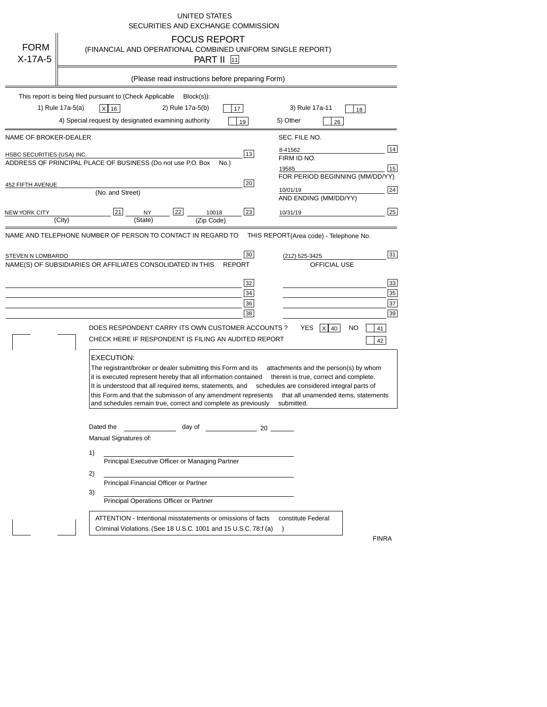| <b>FORM</b><br>$X-17A-5$                            | UNITED STATES<br>SECURITIES AND EXCHANGE COMMISSION<br><b>FOCUS REPORT</b><br>(FINANCIAL AND OPERATIONAL COMBINED UNIFORM SINGLE REPORT)<br><b>PART II</b> 11                                                                                                                                                                                                                                                                                                                                                                            |
|-----------------------------------------------------|------------------------------------------------------------------------------------------------------------------------------------------------------------------------------------------------------------------------------------------------------------------------------------------------------------------------------------------------------------------------------------------------------------------------------------------------------------------------------------------------------------------------------------------|
|                                                     | (Please read instructions before preparing Form)                                                                                                                                                                                                                                                                                                                                                                                                                                                                                         |
|                                                     | This report is being filed pursuant to (Check Applicable<br>$Block(s)$ :<br>1) Rule 17a-5(a)<br>2) Rule 17a-5(b)<br>3) Rule 17a-11<br>x 16<br>17<br>18<br>4) Special request by designated examining authority<br>5) Other<br>19<br>26                                                                                                                                                                                                                                                                                                   |
| NAME OF BROKER-DEALER<br>HSBC SECURITIES (USA) INC. | SEC. FILE NO.<br>14<br>8-41562<br>13<br>FIRM ID NO.<br>ADDRESS OF PRINCIPAL PLACE OF BUSINESS (Do not use P.O. Box<br>No.)<br>15<br>19585<br>FOR PERIOD BEGINNING (MM/DD/YY)<br>20                                                                                                                                                                                                                                                                                                                                                       |
| 452 FIFTH AVENUE<br>NEW YORK CITY                   | 24<br>10/01/19<br>(No. and Street)<br>AND ENDING (MM/DD/YY)<br>25<br>22<br>23<br>21<br>NY<br>10018<br>10/31/19<br>(City)<br>(State)<br>(Zip Code)                                                                                                                                                                                                                                                                                                                                                                                        |
| STEVEN N LOMBARDO                                   | NAME AND TELEPHONE NUMBER OF PERSON TO CONTACT IN REGARD TO<br>THIS REPORT(Area code) - Telephone No.<br>31<br>30<br>(212) 525-3425<br>NAME(S) OF SUBSIDIARIES OR AFFILIATES CONSOLIDATED IN THIS<br><b>REPORT</b><br>OFFICIAL USE<br>33<br>32<br>35<br>34<br>37<br>36<br>39<br>38<br><b>YES</b><br>DOES RESPONDENT CARRY ITS OWN CUSTOMER ACCOUNTS ?<br>NO<br>$X$ 40<br>41<br>CHECK HERE IF RESPONDENT IS FILING AN AUDITED REPORT<br>42                                                                                                |
|                                                     | <b>EXECUTION:</b><br>The registrant/broker or dealer submitting this Form and its<br>attachments and the person(s) by whom<br>it is executed represent hereby that all information contained<br>therein is true, correct and complete.<br>It is understood that all required items, statements, and<br>schedules are considered integral parts of<br>this Form and that the submisson of any amendment represents<br>that all unamended items, statements<br>and schedules remain true, correct and complete as previously<br>submitted. |
|                                                     | Dated the<br>day of<br>$\sim$ 20<br>Manual Signatures of:<br>1)<br>Principal Executive Officer or Managing Partner<br>2)<br>Principal Financial Officer or Partner<br>3)<br>Principal Operations Officer or Partner<br>ATTENTION - Intentional misstatements or omissions of facts<br>constitute Federal<br>Criminal Violations. (See 18 U.S.C. 1001 and 15 U.S.C. 78.f (a)<br>$\lambda$                                                                                                                                                 |
|                                                     | <b>FINRA</b>                                                                                                                                                                                                                                                                                                                                                                                                                                                                                                                             |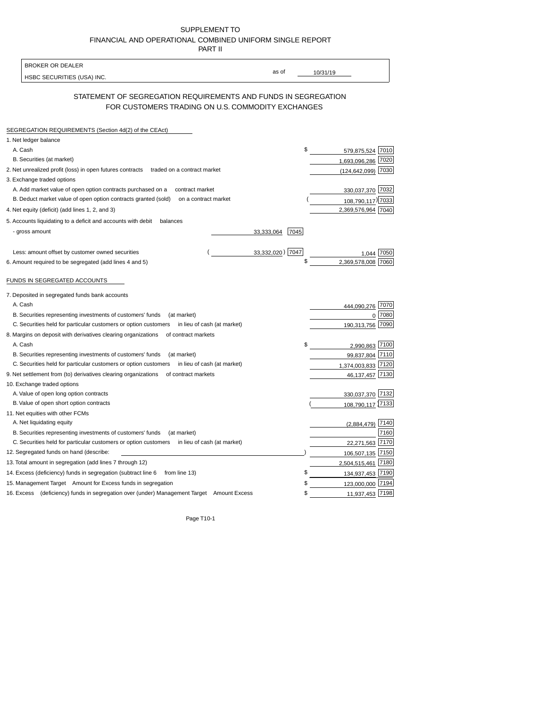| SUPPLEMENT TO                                            |
|----------------------------------------------------------|
| FINANCIAL AND OPERATIONAL COMBINED UNIFORM SINGLE REPORT |
| <b>PART II</b>                                           |

| HSBC SECURITIES (USA) INC.                                                                                          | as of<br>10/31/19                         |                                                              |
|---------------------------------------------------------------------------------------------------------------------|-------------------------------------------|--------------------------------------------------------------|
| STATEMENT OF SEGREGATION REQUIREMENTS AND FUNDS IN SEGREGATION<br>FOR CUSTOMERS TRADING ON U.S. COMMODITY EXCHANGES |                                           |                                                              |
| SEGREGATION REQUIREMENTS (Section 4d(2) of the CEAct)                                                               |                                           |                                                              |
| 1. Net ledger balance                                                                                               |                                           |                                                              |
| A. Cash                                                                                                             | \$<br>579,875,524 7010                    |                                                              |
| B. Securities (at market)                                                                                           | 1,693,096,286                             | 7020                                                         |
| 2. Net unrealized profit (loss) in open futures contracts<br>traded on a contract market                            | (124, 642, 099)                           | 7030                                                         |
| 3. Exchange traded options                                                                                          |                                           |                                                              |
| A. Add market value of open option contracts purchased on a<br>contract market                                      | 330,037,370                               | 7032                                                         |
| B. Deduct market value of open option contracts granted (sold)<br>on a contract market                              |                                           |                                                              |
| 4. Net equity (deficit) (add lines 1, 2, and 3)                                                                     | 108,790,117) 7033<br>2,369,576,964 7040   |                                                              |
|                                                                                                                     |                                           |                                                              |
| 5. Accounts liquidating to a deficit and accounts with debit<br>balances                                            |                                           |                                                              |
| - gross amount<br>33,333,064                                                                                        | 7045                                      |                                                              |
| Less: amount offset by customer owned securities                                                                    | 33,332,020) 7047<br>1.044                 | 7050                                                         |
| 6. Amount required to be segregated (add lines 4 and 5)                                                             | \$<br>2,369,578,008                       |                                                              |
|                                                                                                                     |                                           |                                                              |
|                                                                                                                     |                                           |                                                              |
| FUNDS IN SEGREGATED ACCOUNTS                                                                                        |                                           |                                                              |
|                                                                                                                     |                                           |                                                              |
| 7. Deposited in segregated funds bank accounts                                                                      |                                           |                                                              |
| A. Cash                                                                                                             | 444,090,276                               |                                                              |
| B. Securities representing investments of customers' funds<br>(at market)                                           | $\Omega$                                  |                                                              |
| C. Securities held for particular customers or option customers<br>in lieu of cash (at market)                      | 190,313,756                               |                                                              |
| 8. Margins on deposit with derivatives clearing organizations<br>of contract markets                                |                                           |                                                              |
| A. Cash                                                                                                             | \$<br>2,990,863                           |                                                              |
| B. Securities representing investments of customers' funds<br>(at market)                                           | 99,837,804                                |                                                              |
| C. Securities held for particular customers or option customers<br>in lieu of cash (at market)                      | 1,374,003,833                             |                                                              |
| 9. Net settlement from (to) derivatives clearing organizations<br>of contract markets                               | 46, 137, 457                              |                                                              |
| 10. Exchange traded options                                                                                         |                                           |                                                              |
| A. Value of open long option contracts                                                                              | 330,037,370 7132                          |                                                              |
| B. Value of open short option contracts                                                                             | 108,790,117 7133                          |                                                              |
| 11. Net equities with other FCMs                                                                                    |                                           |                                                              |
| A. Net liquidating equity                                                                                           | (2,884,479)                               | 7070<br>7080<br>7090<br>7100<br>7110<br>7120<br>7130<br>7140 |
| B. Securities representing investments of customers' funds<br>(at market)                                           |                                           | 7160                                                         |
| C. Securities held for particular customers or option customers in lieu of cash (at market)                         | 22,271,563                                |                                                              |
| 12. Segregated funds on hand (describe:                                                                             | 106,507,135 7150                          | 7170                                                         |
| 13. Total amount in segregation (add lines 7 through 12)                                                            | 2,504,515,461 7180                        |                                                              |
| 14. Excess (deficiency) funds in segregation (subtract line 6<br>from line 13)                                      | \$<br>134,937,453 7190                    |                                                              |
| 15. Management Target Amount for Excess funds in segregation                                                        | 123,000,000 7194<br>\$<br>11,937,453 7198 |                                                              |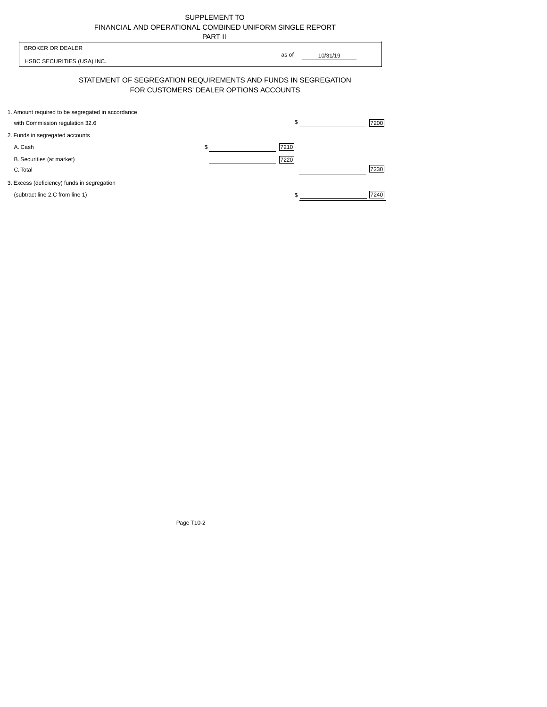| SUPPLEMENT TO                                            |
|----------------------------------------------------------|
| FINANCIAL AND OPERATIONAL COMBINED UNIFORM SINGLE REPORT |
| -----                                                    |

|                                                                                      | PART II                                |                   |
|--------------------------------------------------------------------------------------|----------------------------------------|-------------------|
| <b>BROKER OR DEALER</b><br>HSBC SECURITIES (USA) INC.                                |                                        | as of<br>10/31/19 |
| STATEMENT OF SEGREGATION REQUIREMENTS AND FUNDS IN SEGREGATION                       | FOR CUSTOMERS' DEALER OPTIONS ACCOUNTS |                   |
| 1. Amount required to be segregated in accordance<br>with Commission regulation 32.6 |                                        | \$<br>7200        |
| 2. Funds in segregated accounts                                                      |                                        |                   |
| A. Cash                                                                              | \$                                     | 7210              |
| B. Securities (at market)<br>C. Total                                                |                                        | 7220<br>7230      |
| 3. Excess (deficiency) funds in segregation                                          |                                        |                   |
| (subtract line 2.C from line 1)                                                      |                                        | 7240              |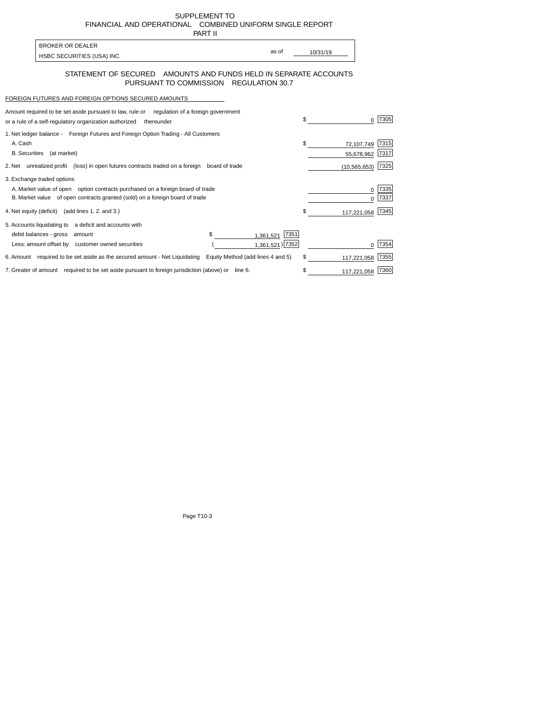SUPPLEMENT TO FINANCIALAND OPERATIONAL COMBINED UNIFORM SINGLE REPORT PART II

| <b>BROKER OR DEALER</b>    |       |          |
|----------------------------|-------|----------|
|                            | as of | 10/31/19 |
| HSBC SECURITIES (USA) INC. |       |          |

## STATEMENT OF SECURED AMOUNTS AND FUNDS HELD IN SEPARATE ACCOUNTS PURSUANT TO COMMISSION REGULATION 30.7

## FOREIGN FUTURES AND FOREIGN OPTIONS SECURED AMOUNTS

| Amount required to be set aside pursuant to law, rule or regulation of a foreign government |                                   |                   |      |
|---------------------------------------------------------------------------------------------|-----------------------------------|-------------------|------|
| or a rule of a self-regulatory organization authorized<br>thereunder                        |                                   | \$                | 7305 |
| 1. Net ledger balance - Foreign Futures and Foreign Option Trading - All Customers          |                                   |                   |      |
| A. Cash                                                                                     |                                   | \$<br>72,107,749  | 7315 |
| <b>B.</b> Securities<br>(at market)                                                         |                                   | 55,678,962        | 7317 |
| 2. Net unrealized profit (loss) in open futures contracts traded on a foreign               | board of trade                    | (10, 565, 653)    | 7325 |
| 3. Exchange traded options                                                                  |                                   |                   |      |
| A. Market value of open option contracts purchased on a foreign board of trade              |                                   |                   | 7335 |
| B. Market value of open contracts granted (sold) on a foreign board of trade                |                                   |                   | 7337 |
| 4. Net equity (deficit) (add lines 1.2. and 3.)                                             |                                   | \$<br>117,221,058 | 7345 |
| 5. Accounts liquidating to a deficit and accounts with                                      |                                   |                   |      |
| debit balances - gross<br>amount                                                            | \$<br>7351<br>1,361,521           |                   |      |
| Less: amount offset by customer owned securities                                            | 1,361,521) 7352                   |                   | 7354 |
| 6. Amount required to be set aside as the secured amount - Net Liquidating                  | Equity Method (add lines 4 and 5) | \$<br>117,221,058 | 7355 |
| 7. Greater of amount required to be set aside pursuant to foreign jurisdiction (above) or   | line 6.                           | 117,221,058       | 7360 |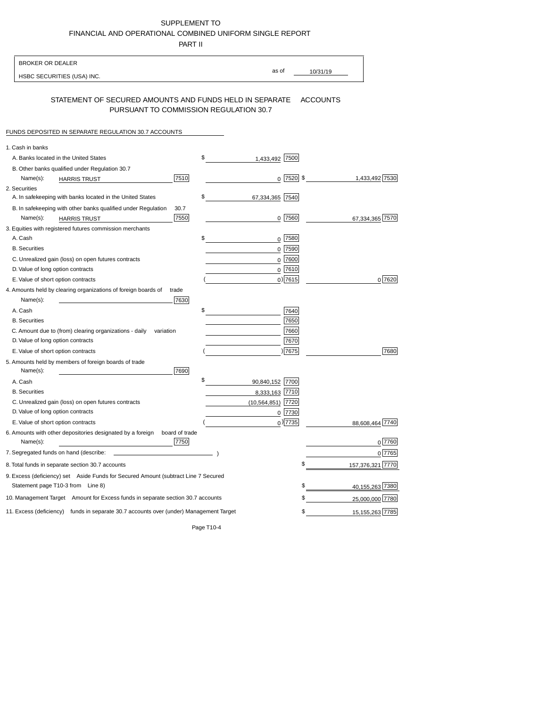## SUPPLEMENT TO FINANCIALAND OPERATIONALCOMBINED UNIFORM SINGLE REPORT

PART II

| <b>BROKER OR DEALER</b>                                                                                                 |                        |                         |
|-------------------------------------------------------------------------------------------------------------------------|------------------------|-------------------------|
| HSBC SECURITIES (USA) INC.                                                                                              | as of                  | 10/31/19                |
| STATEMENT OF SECURED AMOUNTS AND FUNDS HELD IN SEPARATE<br>PURSUANT TO COMMISSION REGULATION 30.7                       |                        | <b>ACCOUNTS</b>         |
| FUNDS DEPOSITED IN SEPARATE REGULATION 30.7 ACCOUNTS                                                                    |                        |                         |
| 1. Cash in banks                                                                                                        |                        |                         |
| A. Banks located in the United States                                                                                   | \$<br>1,433,492 7500   |                         |
| B. Other banks qualified under Regulation 30.7                                                                          |                        |                         |
| 7510<br>Name(s):<br><b>HARRIS TRUST</b>                                                                                 | $0$ 7520 \$            | 1,433,492 7530          |
| 2. Securities                                                                                                           |                        |                         |
| A. In safekeeping with banks located in the United States                                                               | \$<br>67,334,365 7540  |                         |
| 30.7<br>B. In safekeeping with other banks qualified under Regulation                                                   |                        |                         |
| 7550<br>Name(s):<br><b>HARRIS TRUST</b>                                                                                 | 0 7560                 | 67,334,365 7570         |
| 3. Equities with registered futures commission merchants                                                                |                        |                         |
| A. Cash                                                                                                                 | \$<br>$0$ 7580         |                         |
| <b>B.</b> Securities                                                                                                    | $0$ 7590               |                         |
| C. Unrealized gain (loss) on open futures contracts                                                                     | 7600<br>$\mathbf 0$    |                         |
| D. Value of long option contracts                                                                                       | $0$ 7610               |                         |
| E. Value of short option contracts                                                                                      | $0)$ 7615              | 0 7620                  |
| 4. Amounts held by clearing organizations of foreign boards of<br>trade                                                 |                        |                         |
| Name(s):<br>7630                                                                                                        |                        |                         |
| A. Cash                                                                                                                 | \$<br>7640<br>7650     |                         |
| <b>B.</b> Securities                                                                                                    |                        |                         |
| C. Amount due to (from) clearing organizations - daily<br>variation<br>D. Value of long option contracts                | 7660                   |                         |
| E. Value of short option contracts                                                                                      | 7670<br>) 7675         | 7680                    |
| 5. Amounts held by members of foreign boards of trade                                                                   |                        |                         |
| Name(s):<br>7690                                                                                                        |                        |                         |
| A. Cash                                                                                                                 | \$<br>90,840,152 7700  |                         |
| <b>B.</b> Securities                                                                                                    | 8,333,163 7710         |                         |
| C. Unrealized gain (loss) on open futures contracts                                                                     | 7720<br>(10, 564, 851) |                         |
| D. Value of long option contracts                                                                                       | 0 7730                 |                         |
| E. Value of short option contracts                                                                                      | $0$ ) 7735             | 88,608,464 7740         |
| 6. Amounts with other depositories designated by a foreign<br>board of trade<br>7750<br>Name(s):                        |                        | 0 7760                  |
| 7. Segregated funds on hand (describe:                                                                                  |                        | 0 7765                  |
| 8. Total funds in separate section 30.7 accounts                                                                        |                        | \$<br>157,376,321 7770  |
|                                                                                                                         |                        |                         |
| 9. Excess (deficiency) set Aside Funds for Secured Amount (subtract Line 7 Secured<br>Statement page T10-3 from Line 8) |                        | 40,155,263 7380<br>\$   |
| 10. Management Target Amount for Excess funds in separate section 30.7 accounts                                         |                        | 25,000,000 7780<br>\$   |
| 11. Excess (deficiency) funds in separate 30.7 accounts over (under) Management Target                                  |                        | 15, 155, 263 7785<br>\$ |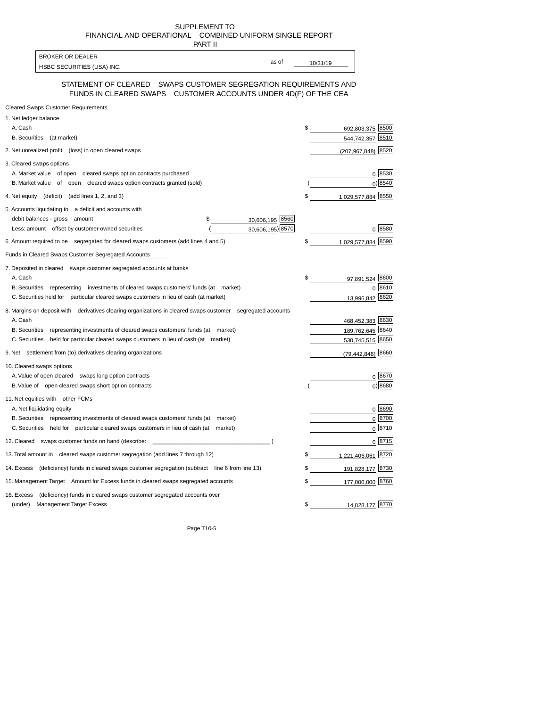SUPPLEMENT TO FINANCIALAND OPERATIONAL COMBINED UNIFORM SINGLE REPORT

| PART II                                                                                                                             |                             |
|-------------------------------------------------------------------------------------------------------------------------------------|-----------------------------|
| <b>BROKER OR DEALER</b>                                                                                                             |                             |
| HSBC SECURITIES (USA) INC.                                                                                                          | as of<br>10/31/19           |
| STATEMENT OF CLEARED SWAPS CUSTOMER SEGREGATION REQUIREMENTS AND<br>FUNDS IN CLEARED SWAPS CUSTOMER ACCOUNTS UNDER 4D(F) OF THE CEA |                             |
| <b>Cleared Swaps Customer Requirements</b>                                                                                          |                             |
| 1. Net ledger balance                                                                                                               |                             |
| A. Cash                                                                                                                             | 8500<br>\$.<br>692.803.375  |
| <b>B.</b> Securities<br>(at market)                                                                                                 | 8510<br>544,742,357         |
| 2. Net unrealized profit (loss) in open cleared swaps                                                                               | 8520<br>(207, 967, 848)     |
| 3. Cleared swaps options                                                                                                            |                             |
| A. Market value of open cleared swaps option contracts purchased                                                                    | 0 8530                      |
| B. Market value of open cleared swaps option contracts granted (sold)                                                               | 0 8540                      |
| 4. Net equity (deficit) (add lines 1, 2, and 3)                                                                                     | 1,029,577,884 8550<br>\$    |
| 5. Accounts liquidating to a deficit and accounts with                                                                              |                             |
| 30,606,195 8560<br>debit balances - gross amount<br>\$                                                                              |                             |
| 30,606,195) 8570<br>Less: amount offset by customer owned securities                                                                | 0 8580                      |
| 6. Amount required to be segregated for cleared swaps customers (add lines 4 and 5)                                                 | 8590<br>\$<br>1,029,577,884 |
| Funds in Cleared Swaps Customer Segregated Accounts                                                                                 |                             |
| 7. Deposited in cleared swaps customer segregated accounts at banks                                                                 |                             |
| A. Cash                                                                                                                             | \$<br>8600<br>97,891,524    |
| B. Securities representing investments of cleared swaps customers' funds (at market)                                                | 0 8610                      |
| C. Securities held for particular cleared swaps customers in lieu of cash (at market)                                               | 8620<br>13,996,842          |

 $0 \overline{8670}$  $0) 8680$ 

1,221,406,061 8720 191,828,177 8730 177,000,000 8760

14,828,177 8770

468,452,383 A. Cash 8630 189,762,645 8640 530,745,515 (79,442,848) 8660 B. Securities representing investments of cleared swaps customers' funds (at market) C. Securities held for particular cleared swaps customers in lieu of cash (at market) 9. Net settlement from (to) derivatives clearing organizations 10. Cleared swaps options A. Value of open cleared swaps long option contracts B. Value of open cleared swaps short option contracts 11. Net equities with other FCMs A. Net liquidating equity B. Securities representing investments of cleared swaps customers' funds (at market) C. Securities held for particular cleared swaps customers in lieu of cash (at market)

8. Margins on deposit with derivatives clearing organizations in cleared swaps customer segregated accounts

12. Cleared swaps customer funds on hand (describe: \_\_\_\_\_\_\_\_\_\_\_\_\_\_\_\_\_\_\_\_\_\_\_\_\_\_\_\_

13. Total amount in cleared swaps customer segregation (add lines 7 through 12)

14. Excess (deficiency) funds in cleared swaps customer segregation (subtract line 6 from line 13) \$ 15. Management Target Amount for Excess funds in cleared swaps segregated accounts \$ 16. Excess (deficiency) funds in cleared swaps customer segregated accounts over

(under) Management Target Excess \$ 87700 \$